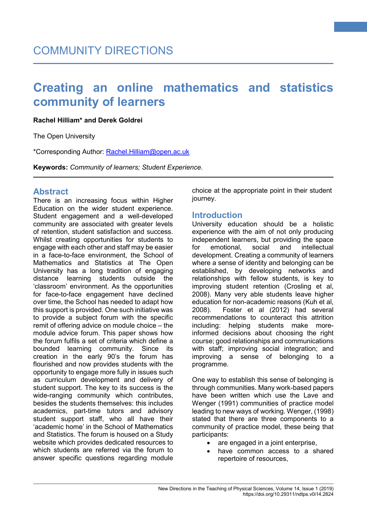#### **Rachel Hilliam\* and Derek Goldrei**

The Open University

\*Corresponding Author: [Rachel.Hilliam@open.ac.uk](mailto:Rachel.Hilliam@open.ac.uk)

**Keywords:** *Community of learners; Student Experience.*

# **Abstract**

There is an increasing focus within Higher Education on the wider student experience. Student engagement and a well-developed community are associated with greater levels of retention, student satisfaction and success. Whilst creating opportunities for students to engage with each other and staff may be easier in a face-to-face environment, the School of Mathematics and Statistics at The Open University has a long tradition of engaging distance learning students outside the 'classroom' environment. As the opportunities for face-to-face engagement have declined over time, the School has needed to adapt how this support is provided. One such initiative was to provide a subject forum with the specific remit of offering advice on module choice – the module advice forum. This paper shows how the forum fulfils a set of criteria which define a bounded learning community. Since its creation in the early 90's the forum has flourished and now provides students with the opportunity to engage more fully in issues such as curriculum development and delivery of student support. The key to its success is the wide-ranging community which contributes, besides the students themselves: this includes academics, part-time tutors and advisory student support staff, who all have their 'academic home' in the School of Mathematics and Statistics. The forum is housed on a Study website which provides dedicated resources to which students are referred via the forum to answer specific questions regarding module

choice at the appropriate point in their student journey.

**1**

# **Introduction**

University education should be a holistic experience with the aim of not only producing independent learners, but providing the space<br>for emotional social and intellectual for emotional development. Creating a community of learners where a sense of identity and belonging can be established, by developing networks and relationships with fellow students, is key to improving student retention (Crosling et al, 2008). Many very able students leave higher education for non-academic reasons (Kuh et al, 2008). Foster et al (2012) had several recommendations to counteract this attrition including: helping students make moreinformed decisions about choosing the right course; good relationships and communications with staff; improving social integration; and improving a sense of belonging to a programme.

One way to establish this sense of belonging is through communities. Many work-based papers have been written which use the Lave and Wenger (1991) communities of practice model leading to new ways of working. Wenger, (1998) stated that there are three components to a community of practice model, these being that participants:

- are engaged in a joint enterprise,
- have common access to a shared repertoire of resources,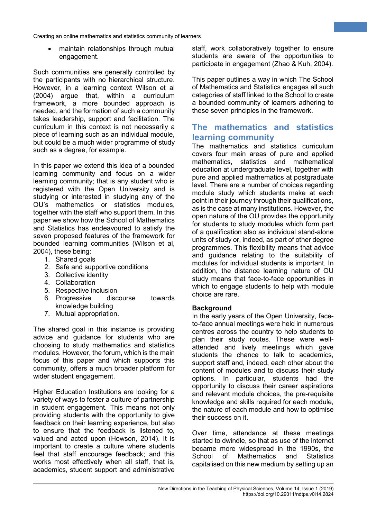• maintain relationships through mutual engagement.

Such communities are generally controlled by the participants with no hierarchical structure. However, in a learning context Wilson et al (2004) argue that, within a curriculum framework, a more bounded approach is needed, and the formation of such a community takes leadership, support and facilitation. The curriculum in this context is not necessarily a piece of learning such as an individual module, but could be a much wider programme of study such as a degree, for example.

In this paper we extend this idea of a bounded learning community and focus on a wider learning community; that is any student who is registered with the Open University and is studying or interested in studying any of the OU's mathematics or statistics modules, together with the staff who support them. In this paper we show how the School of Mathematics and Statistics has endeavoured to satisfy the seven proposed features of the framework for bounded learning communities (Wilson et al, 2004), these being:

- 1. Shared goals
- 2. Safe and supportive conditions
- 3. Collective identity
- 4. Collaboration
- 5. Respective inclusion
- 6. Progressive discourse towards knowledge building
- 7. Mutual appropriation.

The shared goal in this instance is providing advice and guidance for students who are choosing to study mathematics and statistics modules. However, the forum, which is the main focus of this paper and which supports this community, offers a much broader platform for wider student engagement.

Higher Education Institutions are looking for a variety of ways to foster a culture of partnership in student engagement. This means not only providing students with the opportunity to give feedback on their learning experience, but also to ensure that the feedback is listened to, valued and acted upon (Howson, 2014). It is important to create a culture where students feel that staff encourage feedback; and this works most effectively when all staff, that is, academics, student support and administrative staff, work collaboratively together to ensure students are aware of the opportunities to participate in engagement (Zhao & Kuh, 2004).

**2**

This paper outlines a way in which The School of Mathematics and Statistics engages all such categories of staff linked to the School to create a bounded community of learners adhering to these seven principles in the framework.

# **The mathematics and statistics learning community**

The mathematics and statistics curriculum covers four main areas of pure and applied mathematics, statistics and mathematical education at undergraduate level, together with pure and applied mathematics at postgraduate level. There are a number of choices regarding module study which students make at each point in their journey through their qualifications, as is the case at many institutions. However, the open nature of the OU provides the opportunity for students to study modules which form part of a qualification also as individual stand-alone units of study or, indeed, as part of other degree programmes. This flexibility means that advice and guidance relating to the suitability of modules for individual students is important. In addition, the distance learning nature of OU study means that face-to-face opportunities in which to engage students to help with module choice are rare.

### **Background**

In the early years of the Open University, faceto-face annual meetings were held in numerous centres across the country to help students to plan their study routes. These were wellattended and lively meetings which gave students the chance to talk to academics, support staff and, indeed, each other about the content of modules and to discuss their study options. In particular, students had the opportunity to discuss their career aspirations and relevant module choices, the pre-requisite knowledge and skills required for each module, the nature of each module and how to optimise their success on it.

Over time, attendance at these meetings started to dwindle, so that as use of the internet became more widespread in the 1990s, the School of Mathematics and Statistics capitalised on this new medium by setting up an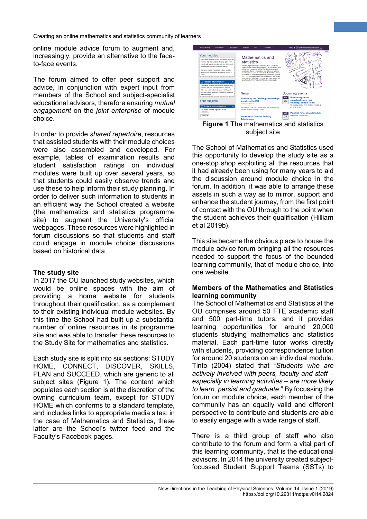online module advice forum to augment and, increasingly, provide an alternative to the faceto-face events.

The forum aimed to offer peer support and advice, in conjunction with expert input from members of the School and subject-specialist educational advisors, therefore ensuring *mutual engagement* on the *joint enterprise* of module choice.

In order to provide *shared repertoire*, resources that assisted students with their module choices were also assembled and developed. For example, tables of examination results and student satisfaction ratings on individual modules were built up over several years, so that students could easily observe trends and use these to help inform their study planning. In order to deliver such information to students in an efficient way the School created a website (the mathematics and statistics programme site) to augment the University's official webpages. These resources were highlighted in forum discussions so that students and staff could engage in module choice discussions based on historical data

#### **The study site**

In 2017 the OU launched study websites, which would be online spaces with the aim of providing a home website for students throughout their qualification, as a complement to their existing individual module websites. By this time the School had built up a substantial number of online resources in its programme site and was able to transfer these resources to the Study Site for mathematics and statistics.

Each study site is split into six sections: STUDY HOME, CONNECT, DISCOVER, SKILLS, PLAN and SUCCEED, which are generic to all subject sites (Figure 1). The content which populates each section is at the discretion of the owning curriculum team, except for STUDY HOME which conforms to a standard template, and includes links to appropriate media sites: in the case of Mathematics and Statistics, these latter are the School's twitter feed and the Faculty's Facebook pages.



**3**

**Figure 1** The mathematics and statistics subject site

The School of Mathematics and Statistics used this opportunity to develop the study site as a one-stop shop exploiting all the resources that it had already been using for many years to aid the discussion around module choice in the forum. In addition, it was able to arrange these assets in such a way as to mirror, support and enhance the student journey, from the first point of contact with the OU through to the point when the student achieves their qualification (Hilliam et al 2019b).

This site became the obvious place to house the module advice forum bringing all the resources needed to support the focus of the bounded learning community, that of module choice, into one website.

#### **Members of the Mathematics and Statistics learning community**

The School of Mathematics and Statistics at the OU comprises around 50 FTE academic staff and 500 part-time tutors, and it provides learning opportunities for around 20,000 students studying mathematics and statistics material. Each part-time tutor works directly with students, providing correspondence tuition for around 20 students on an individual module. Tinto (2004) stated that "*Students who are actively involved with peers, faculty and staff – especially in learning activities – are more likely to learn, persist and graduate.*" By focussing the forum on module choice, each member of the community has an equally valid and different perspective to contribute and students are able to easily engage with a wide range of staff.

There is a third group of staff who also contribute to the forum and form a vital part of this learning community, that is the educational advisors. In 2014 the university created subjectfocussed Student Support Teams (SSTs) to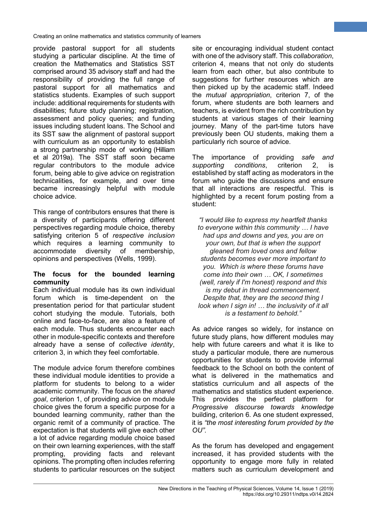provide pastoral support for all students studying a particular discipline. At the time of creation the Mathematics and Statistics SST comprised around 35 advisory staff and had the responsibility of providing the full range of pastoral support for all mathematics and statistics students. Examples of such support include: additional requirements for students with disabilities; future study planning; registration, assessment and policy queries; and funding issues including student loans. The School and its SST saw the alignment of pastoral support with curriculum as an opportunity to establish a strong partnership mode of working (Hilliam et al 2019a). The SST staff soon became regular contributors to the module advice forum, being able to give advice on registration technicalities, for example, and over time became increasingly helpful with module choice advice.

This range of contributors ensures that there is a diversity of participants offering different perspectives regarding module choice, thereby satisfying criterion 5 of *respective inclusion* which requires a learning community to accommodate diversity of membership, opinions and perspectives (Wells, 1999).

#### **The focus for the bounded learning community**

Each individual module has its own individual forum which is time-dependent on the presentation period for that particular student cohort studying the module. Tutorials, both online and face-to-face, are also a feature of each module. Thus students encounter each other in module-specific contexts and therefore already have a sense of *collective identity*, criterion 3, in which they feel comfortable.

The module advice forum therefore combines these individual module identities to provide a platform for students to belong to a wider academic community. The focus on the *shared goal*, criterion 1, of providing advice on module choice gives the forum a specific purpose for a bounded learning community, rather than the organic remit of a community of practice. The expectation is that students will give each other a lot of advice regarding module choice based on their own learning experiences, with the staff prompting, providing facts and relevant opinions. The prompting often includes referring students to particular resources on the subject

site or encouraging individual student contact with one of the advisory staff. This *collaboration*, criterion 4, means that not only do students learn from each other, but also contribute to suggestions for further resources which are then picked up by the academic staff. Indeed the *mutual appropriation*, criterion 7, of the forum, where students are both learners and teachers, is evident from the rich contribution by students at various stages of their learning journey. Many of the part-time tutors have previously been OU students, making them a particularly rich source of advice.

**4**

The importance of providing *safe and supporting conditions*, criterion 2, is established by staff acting as moderators in the forum who guide the discussions and ensure that all interactions are respectful. This is highlighted by a recent forum posting from a student:

*"I would like to express my heartfelt thanks to everyone within this community … I have had ups and downs and yes, you are on your own, but that is when the support gleaned from loved ones and fellow students becomes ever more important to you. Which is where these forums have come into their own … OK, I sometimes (well, rarely if I'm honest) respond and this is my debut in thread commencement. Despite that, they are the second thing I look when I sign in! … the inclusivity of it all is a testament to behold."*

As advice ranges so widely, for instance on future study plans, how different modules may help with future careers and what it is like to study a particular module, there are numerous opportunities for students to provide informal feedback to the School on both the content of what is delivered in the mathematics and statistics curriculum and all aspects of the mathematics and statistics student experience. This provides the perfect platform for *Progressive discourse towards knowledge*  building, criterion 6. As one student expressed, it is *"the most interesting forum provided by the OU"*.

As the forum has developed and engagement increased, it has provided students with the opportunity to engage more fully in related matters such as curriculum development and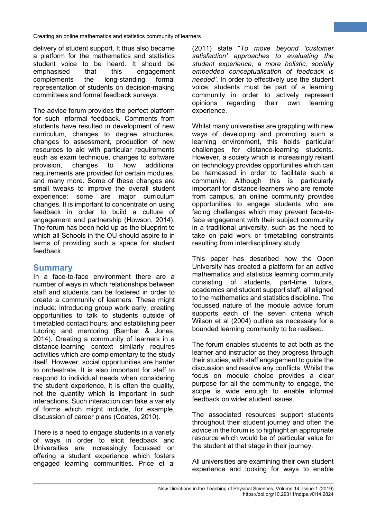delivery of student support. It thus also became a platform for the mathematics and statistics student voice to be heard. It should be<br>emphasised that this engagement engagement complements the long-standing formal representation of students on decision-making committees and formal feedback surveys.

The advice forum provides the perfect platform for such informal feedback. Comments from students have resulted in development of new curriculum, changes to degree structures, changes to assessment, production of new resources to aid with particular requirements such as exam technique, changes to software provision, changes to how additional requirements are provided for certain modules, and many more. Some of these changes are small tweaks to improve the overall student experience: some are major curriculum changes. It is important to concentrate on using feedback in order to build a culture of engagement and partnership (Howson, 2014). The forum has been held up as the blueprint to which all Schools in the OU should aspire to in terms of providing such a space for student feedback.

# **Summary**

In a face-to-face environment there are a number of ways in which relationships between staff and students can be fostered in order to create a community of learners. These might include: introducing group work early; creating opportunities to talk to students outside of timetabled contact hours; and establishing peer tutoring and mentoring (Bamber & Jones, 2014). Creating a community of learners in a distance-learning context similarly requires activities which are complementary to the study itself. However, social opportunities are harder to orchestrate. It is also important for staff to respond to individual needs when considering the student experience, it is often the quality, not the quantity which is important in such interactions. Such interaction can take a variety of forms which might include, for example, discussion of career plans (Coates, 2010).

There is a need to engage students in a variety of ways in order to elicit feedback and Universities are increasingly focussed on offering a student experience which fosters engaged learning communities. Price et al (2011) state "*To move beyond 'customer satisfaction' approaches to evaluating the student experience, a more holistic, socially embedded conceptualisation of feedback is needed'*. In order to effectively use the student voice, students must be part of a learning community in order to actively represent opinions regarding their own learning experience.

**5**

Whilst many universities are grappling with new ways of developing and promoting such a learning environment, this holds particular challenges for distance-learning students. However, a society which is increasingly reliant on technology provides opportunities which can be harnessed in order to facilitate such a community. Although this is particularly important for distance-learners who are remote from campus, an online community provides opportunities to engage students who are facing challenges which may prevent face-toface engagement with their subject community in a traditional university, such as the need to take on paid work or timetabling constraints resulting from interdisciplinary study.

This paper has described how the Open University has created a platform for an active mathematics and statistics learning community consisting of students, part-time tutors, academics and student support staff, all aligned to the mathematics and statistics discipline. The focussed nature of the module advice forum supports each of the seven criteria which Wilson et al (2004) outline as necessary for a bounded learning community to be realised.

The forum enables students to act both as the learner and instructor as they progress through their studies, with staff engagement to guide the discussion and resolve any conflicts. Whilst the focus on module choice provides a clear purpose for all the community to engage, the scope is wide enough to enable informal feedback on wider student issues.

The associated resources support students throughout their student journey and often the advice in the forum is to highlight an appropriate resource which would be of particular value for the student at that stage in their journey.

All universities are examining their own student experience and looking for ways to enable